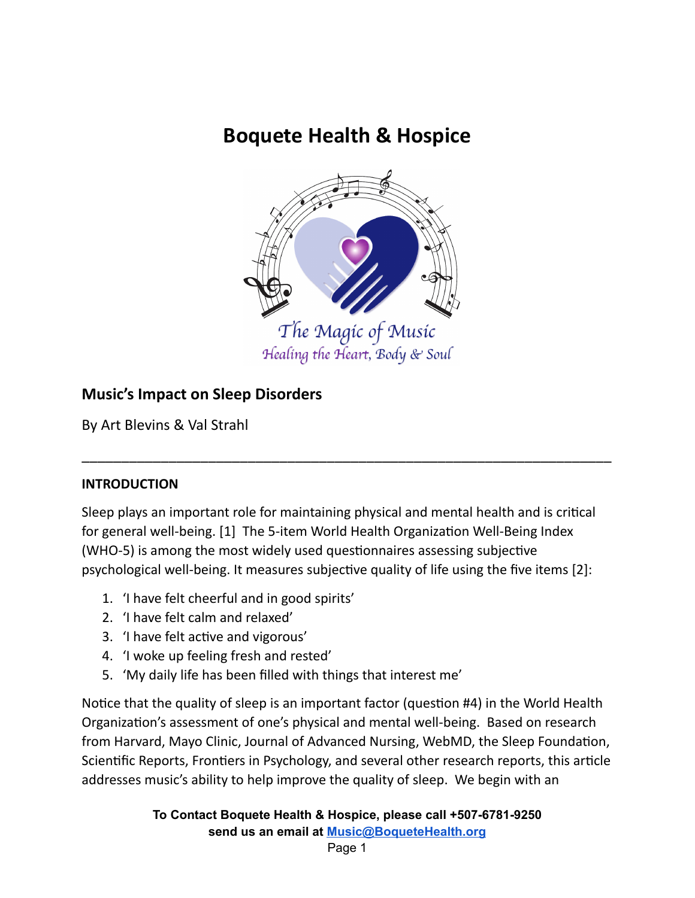# **Boquete Health & Hospice**



## **Music's Impact on Sleep Disorders**

By Art Blevins & Val Strahl

## **INTRODUCTION**

Sleep plays an important role for maintaining physical and mental health and is critical for general well-being. [1] The 5-item World Health Organization Well-Being Index (WHO-5) is among the most widely used questionnaires assessing subjective psychological well-being. It measures subjective quality of life using the five items [2]:

\_\_\_\_\_\_\_\_\_\_\_\_\_\_\_\_\_\_\_\_\_\_\_\_\_\_\_\_\_\_\_\_\_\_\_\_\_\_\_\_\_\_\_\_\_\_\_\_\_\_\_\_\_\_\_\_\_\_\_\_\_\_\_\_\_\_\_

- 1. 'I have felt cheerful and in good spirits'
- 2. 'I have felt calm and relaxed'
- 3. 'I have felt active and vigorous'
- 4. 'I woke up feeling fresh and rested'
- 5. 'My daily life has been filled with things that interest me'

Notice that the quality of sleep is an important factor (question #4) in the World Health Organization's assessment of one's physical and mental well-being. Based on research from Harvard, Mayo Clinic, Journal of Advanced Nursing, WebMD, the Sleep Foundation, Scientific Reports, Frontiers in Psychology, and several other research reports, this article addresses music's ability to help improve the quality of sleep. We begin with an

> **To Contact Boquete Health & Hospice, please call +507-6781-9250 send us an email at [Music@BoqueteHealth.org](mailto:Music@boquetehospice.org)**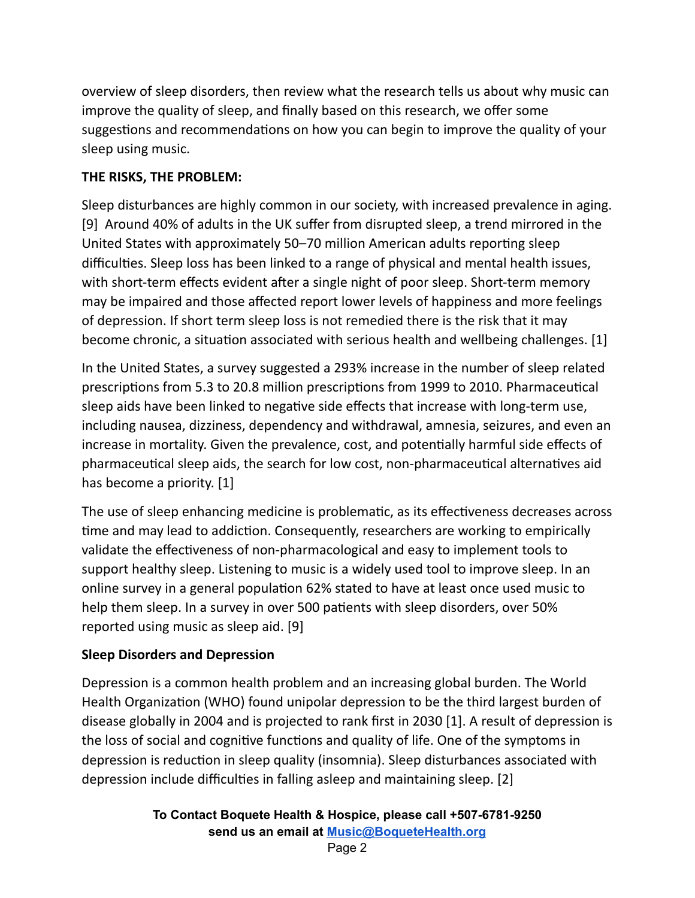overview of sleep disorders, then review what the research tells us about why music can improve the quality of sleep, and finally based on this research, we offer some suggestions and recommendations on how you can begin to improve the quality of your sleep using music.

#### **THE RISKS, THE PROBLEM:**

Sleep disturbances are highly common in our society, with increased prevalence in aging. [9] Around 40% of adults in the UK suffer from disrupted sleep, a trend mirrored in the United States with approximately 50–70 million American adults reporting sleep difficulties. Sleep loss has been linked to a range of physical and mental health issues, with short-term effects evident after a single night of poor sleep. Short-term memory may be impaired and those affected report lower levels of happiness and more feelings of depression. If short term sleep loss is not remedied there is the risk that it may become chronic, a situation associated with serious health and wellbeing challenges. [1]

In the United States, a survey suggested a 293% increase in the number of sleep related prescriptions from 5.3 to 20.8 million prescriptions from 1999 to 2010. Pharmaceutical sleep aids have been linked to negative side effects that increase with long-term use, including nausea, dizziness, dependency and withdrawal, amnesia, seizures, and even an increase in mortality. Given the prevalence, cost, and potentially harmful side effects of pharmaceutical sleep aids, the search for low cost, non-pharmaceutical alternatives aid has become a priority. [1]

The use of sleep enhancing medicine is problematic, as its effectiveness decreases across time and may lead to addiction. Consequently, researchers are working to empirically validate the effectiveness of non-pharmacological and easy to implement tools to support healthy sleep. Listening to music is a widely used tool to improve sleep. In an online survey in a general population 62% stated to have at least once used music to help them sleep. In a survey in over 500 patients with sleep disorders, over 50% reported using music as sleep aid. [9]

## **Sleep Disorders and Depression**

Depression is a common health problem and an increasing global burden. The World Health Organization (WHO) found unipolar depression to be the third largest burden of disease globally in 2004 and is projected to rank first in 2030 [1]. A result of depression is the loss of social and cognitive functions and quality of life. One of the symptoms in depression is reduction in sleep quality (insomnia). Sleep disturbances associated with depression include difficulties in falling asleep and maintaining sleep. [2]

```
To Contact Boquete Health & Hospice, please call +507-6781-9250
send us an email at Music@BoqueteHealth.org
```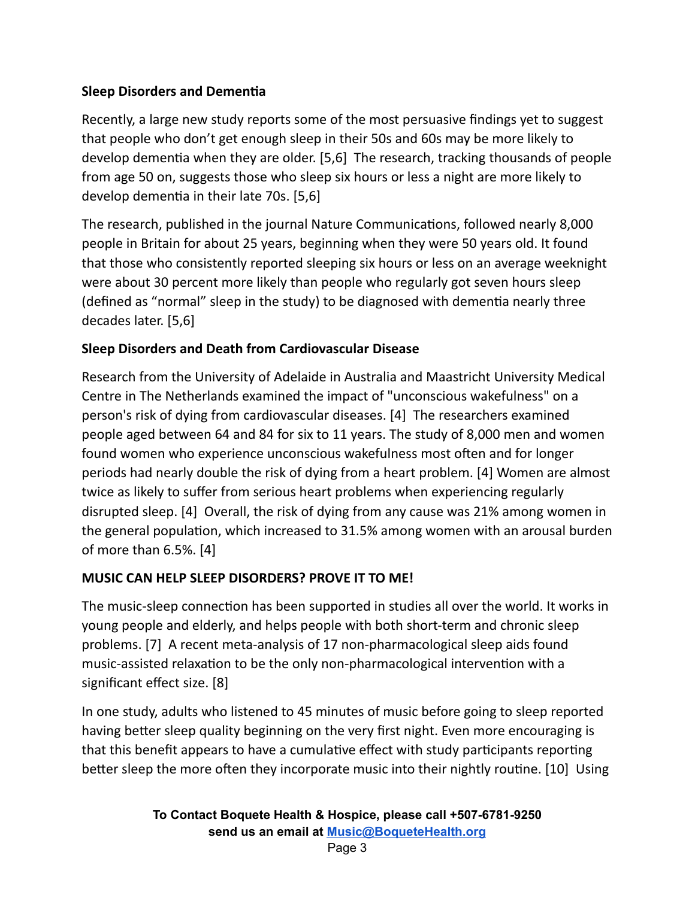## **Sleep Disorders and Dementia**

Recently, a large new study reports some of the most persuasive findings yet to suggest that people who don't get enough sleep in their 50s and 60s may be more likely to develop dementia when they are older.  $[5,6]$  The research, tracking thousands of people from age 50 on, suggests those who sleep six hours or less a night are more likely to develop dementia in their late 70s. [5,6]

The research, published in the journal Nature Communications, followed nearly 8,000 people in Britain for about 25 years, beginning when they were 50 years old. It found that those who consistently reported sleeping six hours or less on an average weeknight were about 30 percent more likely than people who regularly got seven hours sleep (defined as "normal" sleep in the study) to be diagnosed with dementia nearly three decades later. [5,6]

#### **Sleep Disorders and Death from Cardiovascular Disease**

Research from the University of Adelaide in Australia and Maastricht University Medical Centre in The Netherlands examined the impact of "unconscious wakefulness" on a person's risk of dying from cardiovascular diseases. [4] The researchers examined people aged between 64 and 84 for six to 11 years. The study of 8,000 men and women found women who experience unconscious wakefulness most often and for longer periods had nearly double the risk of dying from a heart problem. [4] Women are almost twice as likely to suffer from serious heart problems when experiencing regularly disrupted sleep. [4] Overall, the risk of dying from any cause was 21% among women in the general population, which increased to 31.5% among women with an arousal burden of more than 6.5%. [4]

#### **MUSIC CAN HELP SLEEP DISORDERS? PROVE IT TO ME!**

The music-sleep connection has been supported in studies all over the world. It works in young people and elderly, and helps people with both short-term and chronic sleep problems. [7] A recent meta-analysis of 17 non-pharmacological sleep aids found music-assisted relaxation to be the only non-pharmacological intervention with a significant effect size. [8]

In one study, adults who listened to 45 minutes of music before going to sleep reported having better sleep quality beginning on the very first night. Even more encouraging is that this benefit appears to have a cumulative effect with study participants reporting better sleep the more often they incorporate music into their nightly routine. [10] Using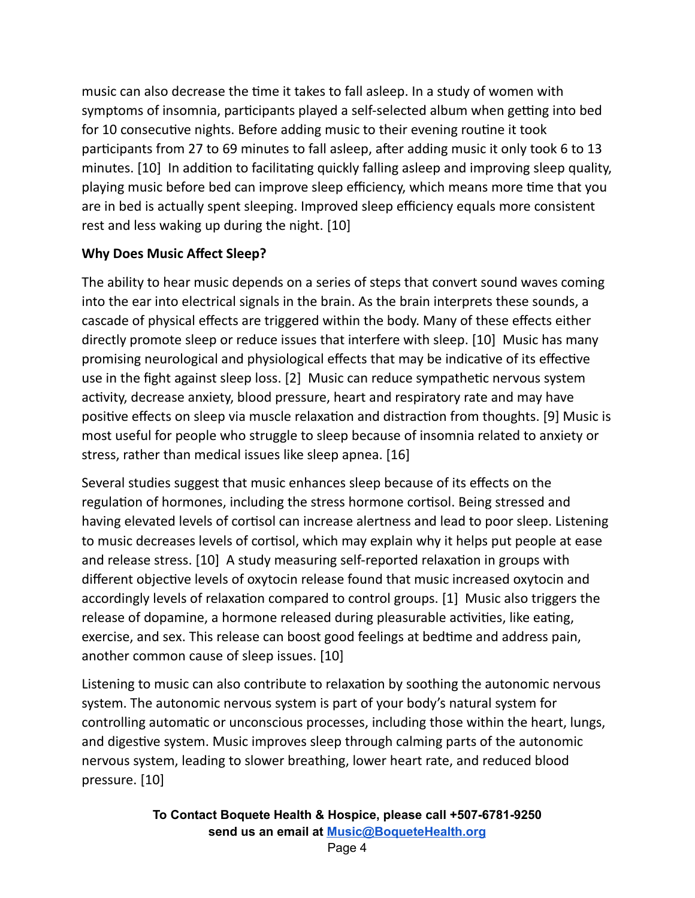music can also decrease the time it takes to fall asleep. In a study of women with symptoms of insomnia, participants played a self-selected album when getting into bed for 10 consecutive nights. Before adding music to their evening routine it took participants from 27 to 69 minutes to fall asleep, after adding music it only took 6 to 13 minutes. [10] In addition to facilitating quickly falling asleep and improving sleep quality, playing music before bed can improve sleep efficiency, which means more time that you are in bed is actually spent sleeping. Improved sleep efficiency equals more consistent rest and less waking up during the night. [10]

#### **Why Does Music Affect Sleep?**

The ability to hear music depends on a series of steps that convert sound waves coming into the ear into electrical signals in the brain. As the brain interprets these sounds, a cascade of physical effects are triggered within the body. Many of these effects either directly promote sleep or reduce issues that interfere with sleep. [10] Music has many promising neurological and physiological effects that may be indicative of its effective use in the fight against sleep loss. [2] Music can reduce sympathetic nervous system activity, decrease anxiety, blood pressure, heart and respiratory rate and may have positive effects on sleep via muscle relaxation and distraction from thoughts. [9] Music is most useful for people who struggle to sleep because of insomnia related to anxiety or stress, rather than medical issues like sleep apnea. [16]

Several studies suggest that music enhances sleep because of its effects on the regulation of hormones, including the stress hormone cortisol. Being stressed and having elevated levels of cortisol can increase alertness and lead to poor sleep. Listening to music decreases levels of cortisol, which may explain why it helps put people at ease and release stress. [10] A study measuring self-reported relaxation in groups with different objective levels of oxytocin release found that music increased oxytocin and accordingly levels of relaxation compared to control groups. [1] Music also triggers the release of dopamine, a hormone released during pleasurable activities, like eating, exercise, and sex. This release can boost good feelings at bedtime and address pain, another common cause of sleep issues. [10]

Listening to music can also contribute to relaxation by soothing the autonomic nervous system. The autonomic nervous system is part of your body's natural system for controlling automatic or unconscious processes, including those within the heart, lungs, and digestive system. Music improves sleep through calming parts of the autonomic nervous system, leading to slower breathing, lower heart rate, and reduced blood pressure. [10]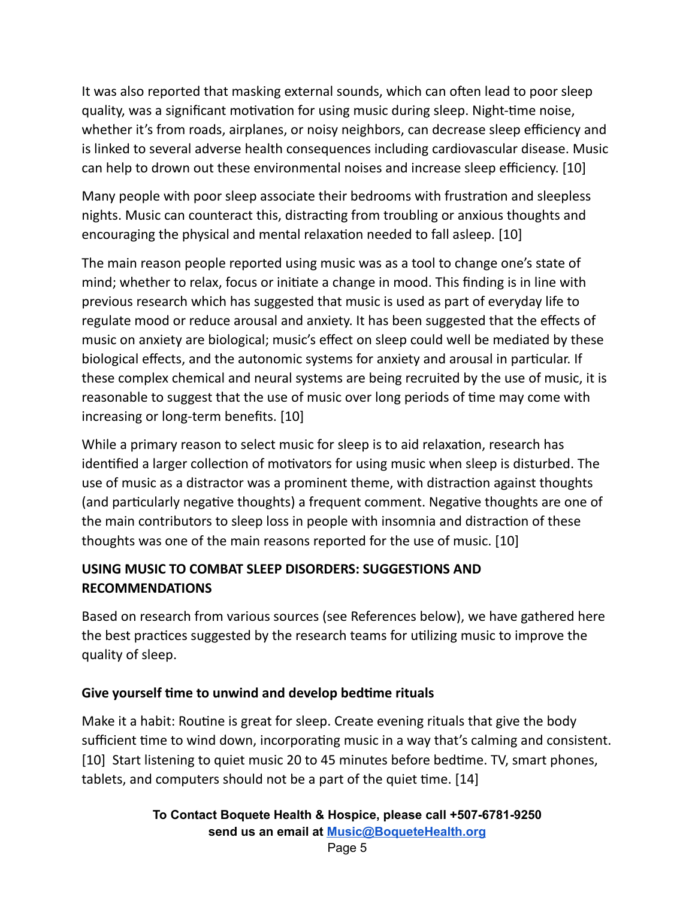It was also reported that masking external sounds, which can often lead to poor sleep quality, was a significant motivation for using music during sleep. Night-time noise, whether it's from roads, airplanes, or noisy neighbors, can decrease sleep efficiency and is linked to several adverse health consequences including cardiovascular disease. Music can help to drown out these environmental noises and increase sleep efficiency. [10]

Many people with poor sleep associate their bedrooms with frustration and sleepless nights. Music can counteract this, distracting from troubling or anxious thoughts and encouraging the physical and mental relaxation needed to fall asleep. [10]

The main reason people reported using music was as a tool to change one's state of mind; whether to relax, focus or initiate a change in mood. This finding is in line with previous research which has suggested that music is used as part of everyday life to regulate mood or reduce arousal and anxiety. It has been suggested that the effects of music on anxiety are biological; music's effect on sleep could well be mediated by these biological effects, and the autonomic systems for anxiety and arousal in particular. If these complex chemical and neural systems are being recruited by the use of music, it is reasonable to suggest that the use of music over long periods of time may come with increasing or long-term benefits. [10]

While a primary reason to select music for sleep is to aid relaxation, research has identified a larger collection of motivators for using music when sleep is disturbed. The use of music as a distractor was a prominent theme, with distraction against thoughts (and particularly negative thoughts) a frequent comment. Negative thoughts are one of the main contributors to sleep loss in people with insomnia and distraction of these thoughts was one of the main reasons reported for the use of music. [10]

## **USING MUSIC TO COMBAT SLEEP DISORDERS: SUGGESTIONS AND RECOMMENDATIONS**

Based on research from various sources (see References below), we have gathered here the best practices suggested by the research teams for utilizing music to improve the quality of sleep.

## **Give yourself me to unwind and develop bedme rituals**

Make it a habit: Routine is great for sleep. Create evening rituals that give the body sufficient time to wind down, incorporating music in a way that's calming and consistent. [10] Start listening to quiet music 20 to 45 minutes before bedtime. TV, smart phones, tablets, and computers should not be a part of the quiet time. [14]

```
To Contact Boquete Health & Hospice, please call +507-6781-9250
send us an email at Music@BoqueteHealth.org
```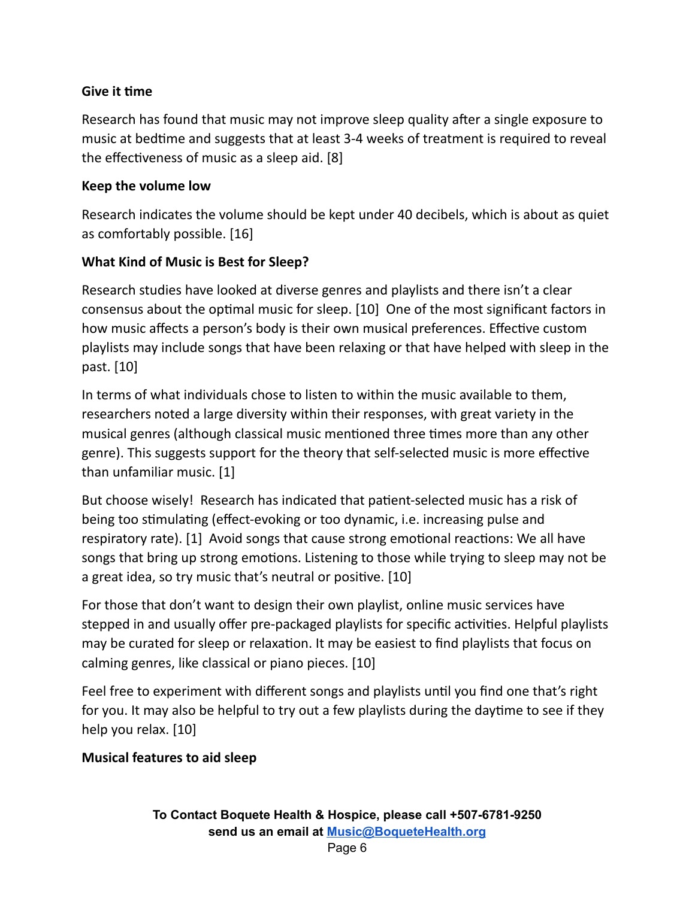#### **Give it me**

Research has found that music may not improve sleep quality after a single exposure to music at bedtime and suggests that at least 3-4 weeks of treatment is required to reveal the effectiveness of music as a sleep aid.  $[8]$ 

#### **Keep the volume low**

Research indicates the volume should be kept under 40 decibels, which is about as quiet as comfortably possible. [16]

#### **What Kind of Music is Best for Sleep?**

Research studies have looked at diverse genres and playlists and there isn't a clear consensus about the optimal music for sleep. [10] One of the most significant factors in how music affects a person's body is their own musical preferences. Effective custom playlists may include songs that have been relaxing or that have helped with sleep in the past. [10]

In terms of what individuals chose to listen to within the music available to them, researchers noted a large diversity within their responses, with great variety in the musical genres (although classical music mentioned three times more than any other genre). This suggests support for the theory that self-selected music is more effective than unfamiliar music. [1]

But choose wisely! Research has indicated that patient-selected music has a risk of being too stimulating (effect-evoking or too dynamic, i.e. increasing pulse and respiratory rate). [1] Avoid songs that cause strong emotional reactions: We all have songs that bring up strong emotions. Listening to those while trying to sleep may not be a great idea, so try music that's neutral or positive. [10]

For those that don't want to design their own playlist, online music services have stepped in and usually offer pre-packaged playlists for specific activities. Helpful playlists may be curated for sleep or relaxation. It may be easiest to find playlists that focus on calming genres, like classical or piano pieces. [10]

Feel free to experiment with different songs and playlists until you find one that's right for you. It may also be helpful to try out a few playlists during the daytime to see if they help you relax. [10]

## **Musical features to aid sleep**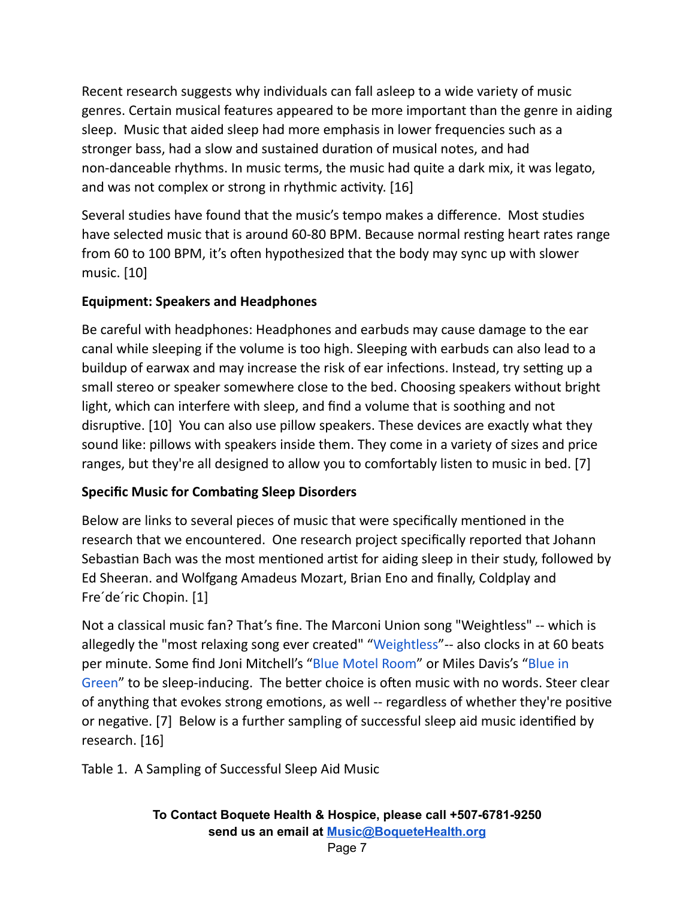Recent research suggests why individuals can fall asleep to a wide variety of music genres. Certain musical features appeared to be more important than the genre in aiding sleep. Music that aided sleep had more emphasis in lower frequencies such as a stronger bass, had a slow and sustained duration of musical notes, and had non-danceable rhythms. In music terms, the music had quite a dark mix, it was legato, and was not complex or strong in rhythmic activity.  $[16]$ 

Several studies have found that the music's tempo makes a difference. Most studies have selected music that is around 60-80 BPM. Because normal resting heart rates range from 60 to 100 BPM, it's often hypothesized that the body may sync up with slower music. [10]

## **Equipment: Speakers and Headphones**

Be careful with headphones: Headphones and earbuds may cause damage to the ear canal while sleeping if the volume is too high. Sleeping with earbuds can also lead to a buildup of earwax and may increase the risk of ear infections. Instead, try setting up a small stereo or speaker somewhere close to the bed. Choosing speakers without bright light, which can interfere with sleep, and find a volume that is soothing and not disruptive. [10] You can also use pillow speakers. These devices are exactly what they sound like: pillows with speakers inside them. They come in a variety of sizes and price ranges, but they're all designed to allow you to comfortably listen to music in bed. [7]

## **Specific Music for Combating Sleep Disorders**

Below are links to several pieces of music that were specifically mentioned in the research that we encountered. One research project specifically reported that Johann Sebastian Bach was the most mentioned artist for aiding sleep in their study, followed by Ed Sheeran. and Wolfgang Amadeus Mozart, Brian Eno and finally, Coldplay and Fre´de´ric Chopin. [1]

Not a classical music fan? That's fine. The Marconi Union song "Weightless" -- which is allegedly the "most relaxing song ever created" "[Weightless](https://www.youtube.com/watch?v=UfcAVejslrU)"-- also clocks in at 60 beats per minute. Some find Joni Mitchell's "Blue Motel [Room"](https://www.youtube.com/watch?v=q-Jkv02sTps&list=RDq-Jkv02sTps&start_radio=1&t=0) or Miles Davis's ["Blue](https://www.youtube.com/watch?v=TLDflhhdPCg&list=RDTLDflhhdPCg&index=1) in [Green](https://www.youtube.com/watch?v=TLDflhhdPCg&list=RDTLDflhhdPCg&index=1)" to be sleep-inducing. The better choice is often music with no words. Steer clear of anything that evokes strong emotions, as well -- regardless of whether they're positive or negative. [7] Below is a further sampling of successful sleep aid music identified by research. [16]

Table 1. A Sampling of Successful Sleep Aid Music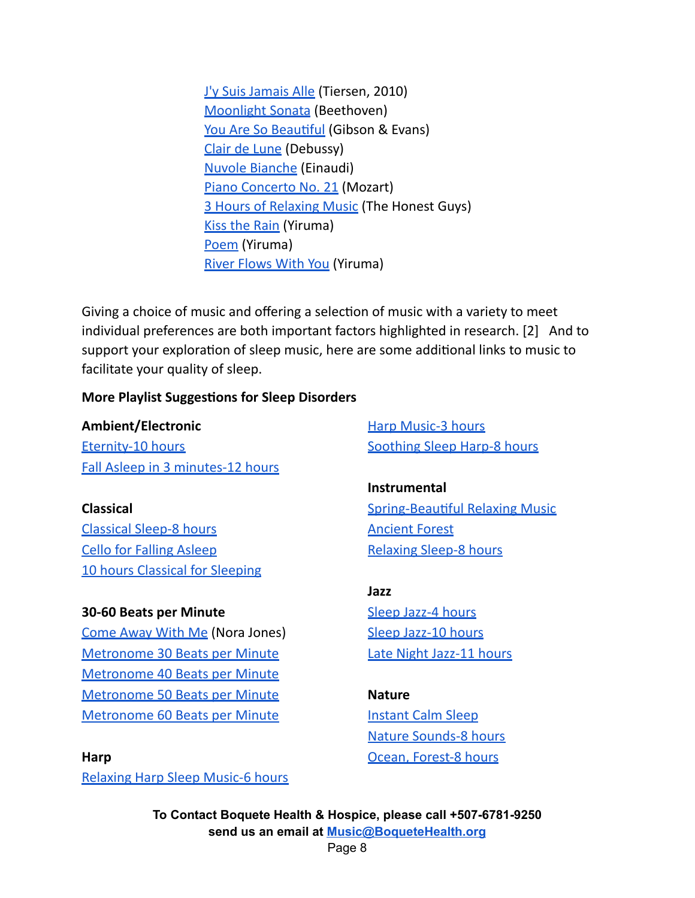J'y Suis [Jamais](https://www.youtube.com/watch?v=vKZsqVGacpQ) Alle (Tiersen, 2010) [Moonlight](https://www.youtube.com/watch?v=4Tr0otuiQuU) Sonata (Beethoven) You Are So Beautiful (Gibson & Evans) Clair de [Lune](https://www.youtube.com/watch?v=WNcsUNKlAKw) (Debussy) Nuvole [Bianche](https://www.youtube.com/watch?v=xyY4IZ3JDFE) (Einaudi) Piano [Concerto](https://www.youtube.com/watch?v=df-eLzao63I) No. 21 (Mozart) **3 Hours [of Relaxing](https://www.youtube.com/watch?v=eBsW9SxCcwg) Music (The Honest Guys)** Kiss the [Rain](https://www.youtube.com/watch?v=so6ExplQlaY) (Yiruma) [Poem](https://www.youtube.com/watch?v=-eqFky-lnmo) (Yiruma) River [Flows](https://www.youtube.com/watch?v=kG9KSWYg-Jc) With You (Yiruma)

Giving a choice of music and offering a selection of music with a variety to meet individual preferences are both important factors highlighted in research. [2] And to support your exploration of sleep music, here are some additional links to music to facilitate your quality of sleep.

#### **More Playlist Suggestions for Sleep Disorders**

#### **Ambient/Electronic**

[Eternity-10](https://www.youtube.com/watch?v=zmK9e8AKzXE&t=7499s) hours Fall Asleep in 3 [minutes-12](https://www.youtube.com/watch?v=-wxDmfOmNOA&t=6916s) hours

**Classical** [Classical](https://www.youtube.com/watch?v=Fnzn-3oXEUI) Sleep-8 hours Cello for Falling [Asleep](https://www.youtube.com/watch?v=2cCZoxboF5s) 10 hours Classical for [Sleeping](https://www.youtube.com/watch?v=P4_OKoKs-CY)

#### **30-60 Beats per Minute**

[Come](https://www.youtube.com/watch?v=lbjZPFBD6JU) Away With Me (Nora Jones) [Metronome](https://www.youtube.com/watch?v=8OMbmcWG4Dk) 30 Beats per Minute [Metronome](https://www.youtube.com/watch?v=vZIp9UBmCBc) 40 Beats per Minute [Metronome](https://www.youtube.com/watch?v=r8Us2BhVPf8) 50 Beats per Minute [Metronome](https://www.youtube.com/watch?v=Hgc7pA43DgI) 60 Beats per Minute

**Harp**

[Relaxing](https://www.youtube.com/watch?v=dCvEgqePl84) Harp Sleep Music-6 hours

Harp [Music-3](https://www.youtube.com/watch?v=n3McD-676Jw) hours [Soothing](https://www.youtube.com/watch?v=P7dF3e1YRFo) Sleep Harp-8 hours

**Instrumental Spring-Beautiful Relaxing Music** [Ancient](https://www.youtube.com/watch?v=v5o8GJ3npTw) Forest [Relaxing](https://www.youtube.com/watch?v=857bt64SomQ) Sleep-8 hours

**Jazz** Sleep [Jazz-4](https://www.youtube.com/watch?v=BjuNUDV7PO4) hours Sleep [Jazz-10](https://www.youtube.com/watch?v=jFckT6u_h4E) hours Late Night [Jazz-11](https://www.youtube.com/watch?v=P7dF3e1YRFo) hours

#### **Nature**

[Instant](https://www.youtube.com/watch?v=4zqKJBxRyuo&list=RDDx5qFachd3A&index=3) Calm Sleep Nature [Sounds-8](https://www.youtube.com/watch?v=eKFTSSKCzWA) hours Ocean, [Forest-8](https://www.youtube.com/watch?v=ySL3NllIhfA) hours

**To Contact Boquete Health & Hospice, please call +507-6781-9250 send us an email at [Music@BoqueteHealth.org](mailto:Music@boquetehospice.org)**